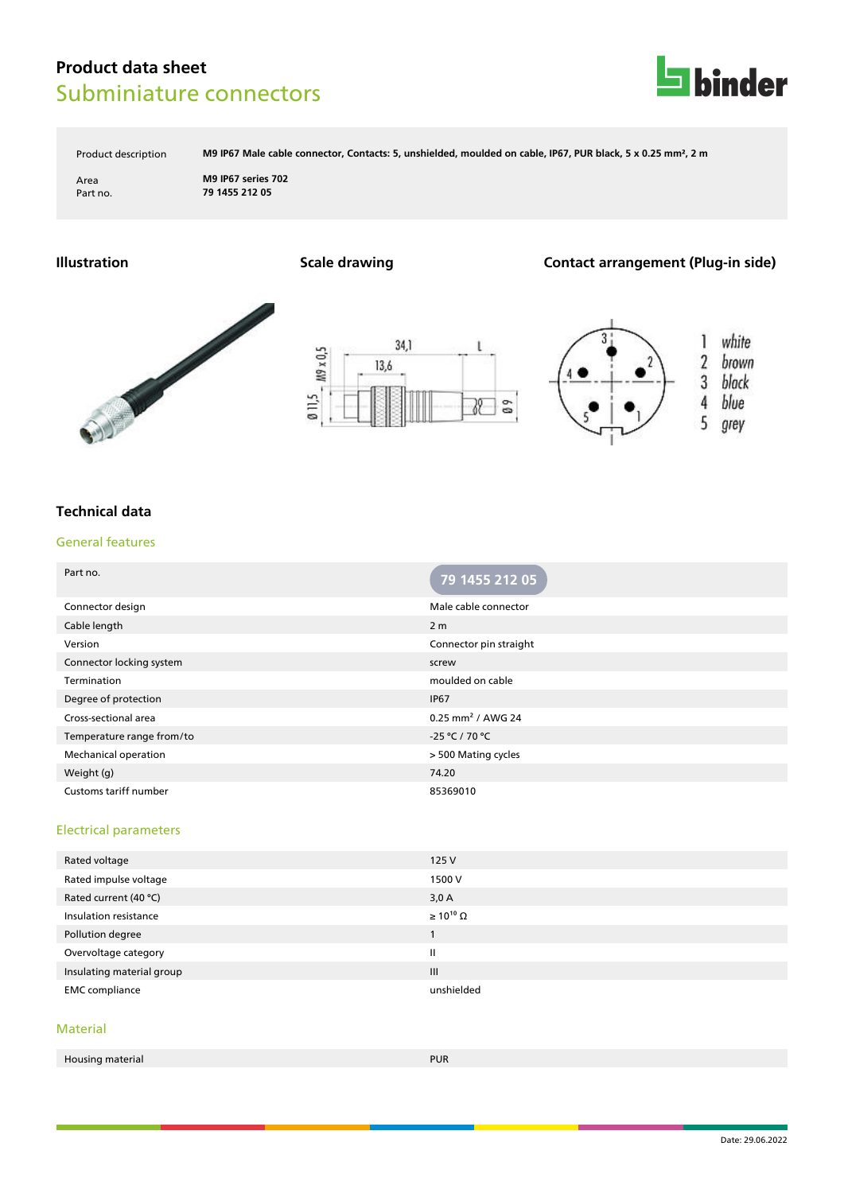# **Product data sheet** Subminiature connectors



Product description **M9 IP67 Male cable connector, Contacts: 5, unshielded, moulded on cable, IP67, PUR black, 5 x 0.25 mm², 2 m**

Area **M9 IP67 series 702** Part no. **79 1455 212 05**

### **Illustration Scale drawing Contact arrangement (Plug-in side)**







## **Technical data**

#### General features

| Part no.                     | 79 1455 212 05                |
|------------------------------|-------------------------------|
| Connector design             | Male cable connector          |
| Cable length                 | 2 <sub>m</sub>                |
| Version                      | Connector pin straight        |
| Connector locking system     | screw                         |
| Termination                  | moulded on cable              |
| Degree of protection         | <b>IP67</b>                   |
| Cross-sectional area         | 0.25 mm <sup>2</sup> / AWG 24 |
| Temperature range from/to    | -25 °C / 70 °C                |
| Mechanical operation         | > 500 Mating cycles           |
| Weight (g)                   | 74.20                         |
| <b>Customs tariff number</b> | 85369010                      |

### Electrical parameters

| Rated voltage             | 125V                  |
|---------------------------|-----------------------|
| Rated impulse voltage     | 1500 V                |
| Rated current (40 °C)     | 3,0A                  |
| Insulation resistance     | $\geq 10^{10} \Omega$ |
| Pollution degree          |                       |
| Overvoltage category      | $\mathbf{II}$         |
| Insulating material group | $\mathbf{III}$        |
| <b>EMC</b> compliance     | unshielded            |

#### Material

| . .<br>Housing material<br>. . <b>.</b> . <b>. .</b> . | <b>PUR</b> |
|--------------------------------------------------------|------------|
|                                                        |            |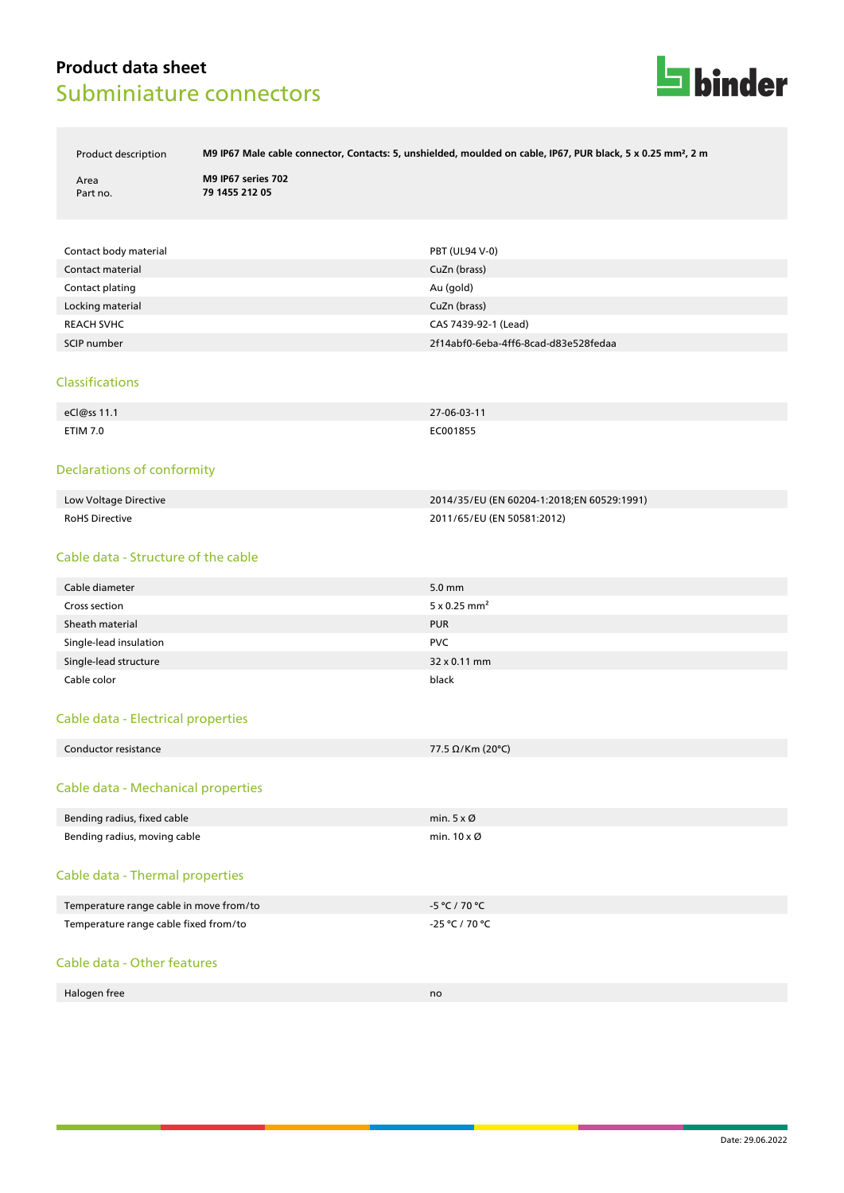# **Product data sheet** Subminiature connectors



Product description **M9 IP67 Male cable connector, Contacts: 5, unshielded, moulded on cable, IP67, PUR black, 5 x 0.25 mm², 2 m**

Area **M9 IP67 series 702** Part no. **79 1455 212 05**

| Contact body material | PBT (UL94 V-0)                       |
|-----------------------|--------------------------------------|
| Contact material      | CuZn (brass)                         |
| Contact plating       | Au (gold)                            |
| Locking material      | CuZn (brass)                         |
| <b>REACH SVHC</b>     | CAS 7439-92-1 (Lead)                 |
| SCIP number           | 2f14abf0-6eba-4ff6-8cad-d83e528fedaa |

#### Classifications

| eCl@ss 11.1     | 27-06-03-11 |
|-----------------|-------------|
| <b>ETIM 7.0</b> | EC001855    |

#### Declarations of conformity

| Low Voltage Directive | 2014/35/EU (EN 60204-1:2018:EN 60529:1991) |
|-----------------------|--------------------------------------------|
| <b>RoHS Directive</b> | 2011/65/EU (EN 50581:2012)                 |

#### Cable data - Structure of the cable

| Cable diameter         | $5.0 \text{ mm}$                |
|------------------------|---------------------------------|
| Cross section          | $5 \times 0.25$ mm <sup>2</sup> |
| Sheath material        | <b>PUR</b>                      |
| Single-lead insulation | <b>PVC</b>                      |
| Single-lead structure  | 32 x 0.11 mm                    |
| Cable color            | black                           |

#### Cable data - Electrical properties

| Conductor resistance | 77.5 $\Omega$ /Km (20°C) |
|----------------------|--------------------------|
|                      |                          |

#### Cable data - Mechanical properties

| Bending radius, fixed cable             | min. $5 \times \emptyset$  |
|-----------------------------------------|----------------------------|
| Bending radius, moving cable            | min. $10 \times \emptyset$ |
| Cable data - Thermal properties         |                            |
| Temperature range cable in move from/to | -5 °C / 70 °C              |
| Temperature range cable fixed from/to   | -25 °C / 70 °C             |
| Cable data - Other features             |                            |